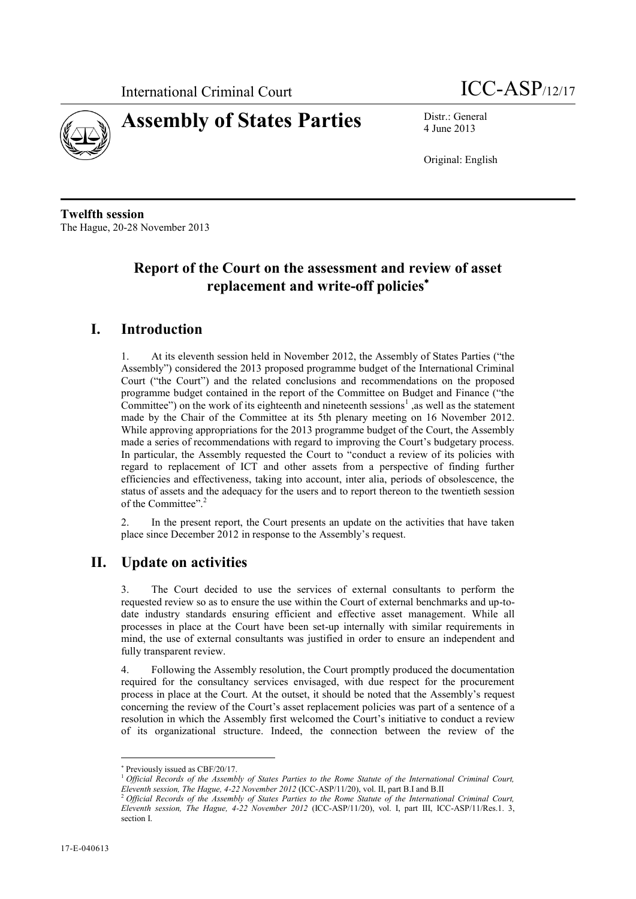



4 June 2013

Original: English

**Twelfth session** The Hague, 20-28 November 2013

## **Report of the Court on the assessment and review of asset replacement and write-off policies**

## **I. Introduction**

1. At its eleventh session held in November 2012, the Assembly of States Parties ("the Assembly") considered the 2013 proposed programme budget of the International Criminal Court ("the Court") and the related conclusions and recommendations on the proposed programme budget contained in the report of the Committee on Budget and Finance ("the Committee") on the work of its eighteenth and nineteenth sessions<sup>1</sup>, as well as the statement made by the Chair of the Committee at its 5th plenary meeting on 16 November 2012. While approving appropriations for the 2013 programme budget of the Court, the Assembly made a series of recommendations with regard to improving the Court's budgetary process. In particular, the Assembly requested the Court to "conduct a review of its policies with regard to replacement of ICT and other assets from a perspective of finding further efficiencies and effectiveness, taking into account, inter alia, periods of obsolescence, the status of assets and the adequacy for the users and to report thereon to the twentieth session of the Committee".<sup>2</sup>

2. In the present report, the Court presents an update on the activities that have taken place since December 2012 in response to the Assembly's request.

## **II. Update on activities**

3. The Court decided to use the services of external consultants to perform the requested review so as to ensure the use within the Court of external benchmarks and up-todate industry standards ensuring efficient and effective asset management. While all processes in place at the Court have been set-up internally with similar requirements in mind, the use of external consultants was justified in order to ensure an independent and fully transparent review.

4. Following the Assembly resolution, the Court promptly produced the documentation required for the consultancy services envisaged, with due respect for the procurement process in place at the Court. At the outset, it should be noted that the Assembly's request concerning the review of the Court's asset replacement policies was part of a sentence of a resolution in which the Assembly first welcomed the Court's initiative to conduct a review of its organizational structure. Indeed, the connection between the review of the

 $\overline{a}$ 

Previously issued as CBF/20/17.

<sup>1</sup> *Official Records of the Assembly of States Parties to the Rome Statute of the International Criminal Court, Eleventh session, The Hague, 4-22 November 2012* (ICC-ASP/11/20), vol. II, part B.I and B.II

<sup>2</sup> *Official Records of the Assembly of States Parties to the Rome Statute of the International Criminal Court, Eleventh session, The Hague, 4-22 November 2012* (ICC-ASP/11/20), vol. I, part III, ICC-ASP/11/Res.1. 3, section I.